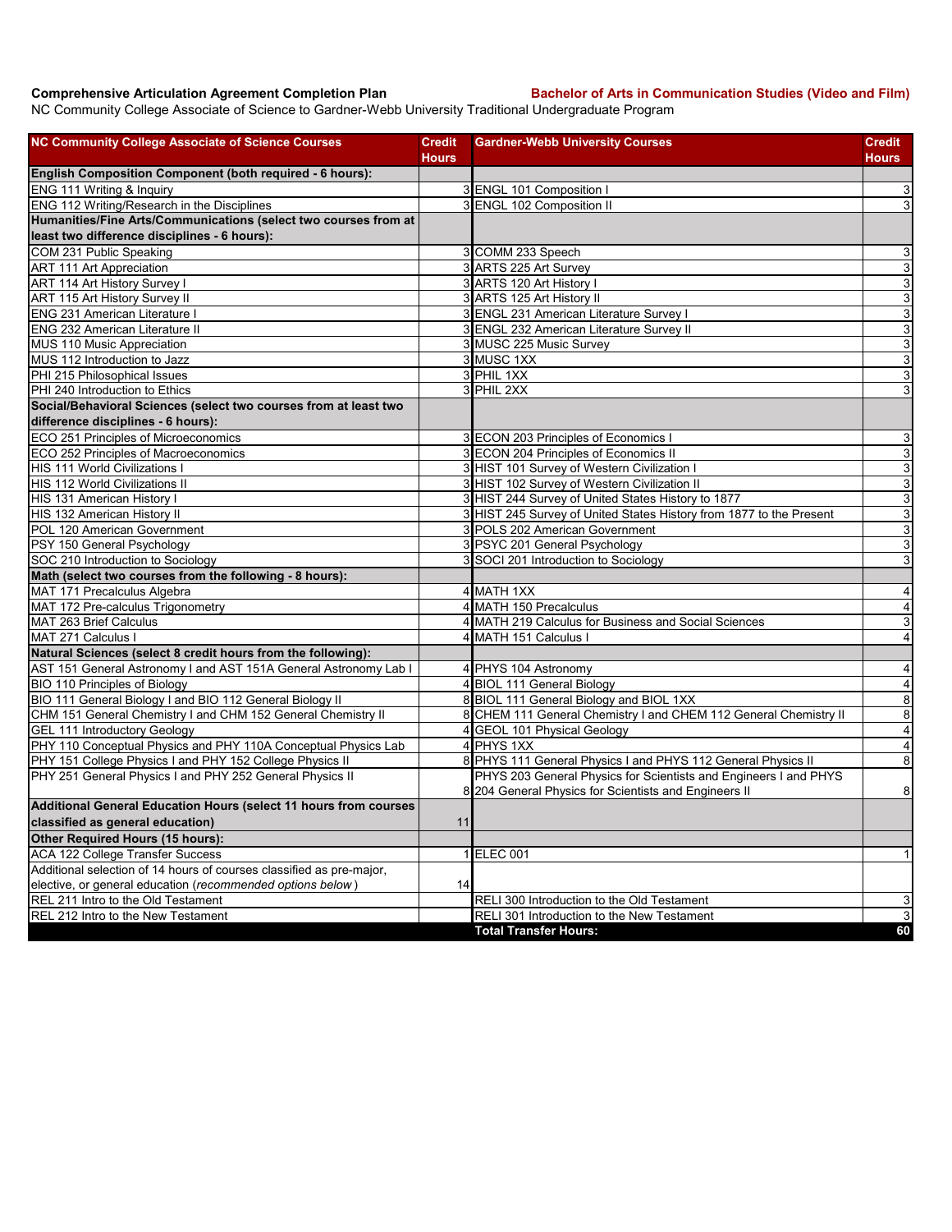**Comprehensive Articulation Agreement Completion Plan Bachelor of Arts in Communication Studies (Video and Film)**

NC Community College Associate of Science to Gardner-Webb University Traditional Undergraduate Program

| <b>NC Community College Associate of Science Courses</b>                                                        | <b>Credit</b> | <b>Gardner-Webb University Courses</b>                              | Credit                    |
|-----------------------------------------------------------------------------------------------------------------|---------------|---------------------------------------------------------------------|---------------------------|
|                                                                                                                 | Hours         |                                                                     | Hours                     |
| English Composition Component (both required - 6 hours):                                                        |               |                                                                     |                           |
| ENG 111 Writing & Inquiry<br>ENG 112 Writing/Research in the Disciplines                                        |               | 3 ENGL 101 Composition I                                            | $\mathsf 3$               |
|                                                                                                                 |               | 3 ENGL 102 Composition II                                           | $\ensuremath{\mathsf{3}}$ |
| Humanities/Fine Arts/Communications (select two courses from at<br>least two difference disciplines - 6 hours): |               |                                                                     |                           |
| COM 231 Public Speaking                                                                                         |               | 3 COMM 233 Speech                                                   | 3                         |
| <b>ART 111 Art Appreciation</b>                                                                                 |               | 3 ARTS 225 Art Survey                                               | 3                         |
| ART 114 Art History Survey I                                                                                    |               | 3 ARTS 120 Art History I                                            | $\overline{3}$            |
| ART 115 Art History Survey II                                                                                   |               | 3 ARTS 125 Art History II                                           | ω                         |
| ENG 231 American Literature I                                                                                   |               | 3 ENGL 231 American Literature Survey I                             | $\ensuremath{\mathsf{3}}$ |
| <b>ENG 232 American Literature II</b>                                                                           |               | 3 ENGL 232 American Literature Survey II                            | $\mathbf{3}$              |
| MUS 110 Music Appreciation                                                                                      |               | 3 MUSC 225 Music Survey                                             | $\mathsf 3$               |
| MUS 112 Introduction to Jazz                                                                                    |               | 3 MUSC 1XX                                                          | $\overline{3}$            |
| PHI 215 Philosophical Issues                                                                                    |               | 3 PHIL 1XX                                                          | 3                         |
| PHI 240 Introduction to Ethics                                                                                  |               | 3 PHIL 2XX                                                          | $\mathbf{3}$              |
| Social/Behavioral Sciences (select two courses from at least two                                                |               |                                                                     |                           |
| difference disciplines - 6 hours):                                                                              |               |                                                                     |                           |
| ECO 251 Principles of Microeconomics                                                                            |               | 3 ECON 203 Principles of Economics I                                | 3                         |
| ECO 252 Principles of Macroeconomics                                                                            |               | 3 ECON 204 Principles of Economics II                               | $\mathsf 3$               |
| <b>HIS 111 World Civilizations I</b>                                                                            |               | 3 HIST 101 Survey of Western Civilization I                         | ω                         |
| HIS 112 World Civilizations II                                                                                  |               | 3 HIST 102 Survey of Western Civilization II                        | $\overline{3}$            |
| HIS 131 American History I                                                                                      |               | 3 HIST 244 Survey of United States History to 1877                  | ω                         |
| HIS 132 American History II                                                                                     |               | 3 HIST 245 Survey of United States History from 1877 to the Present | $\mathsf 3$               |
| POL 120 American Government                                                                                     |               | 3 POLS 202 American Government                                      | ω                         |
| PSY 150 General Psychology                                                                                      |               | 3 PSYC 201 General Psychology                                       | $\mathsf 3$               |
| SOC 210 Introduction to Sociology                                                                               |               | 3 SOCI 201 Introduction to Sociology                                | 3                         |
| Math (select two courses from the following - 8 hours):                                                         |               |                                                                     |                           |
| MAT 171 Precalculus Algebra                                                                                     |               | 4 MATH 1XX                                                          | 4                         |
| MAT 172 Pre-calculus Trigonometry                                                                               |               | 4 MATH 150 Precalculus                                              | $\overline{\mathbf{4}}$   |
| MAT 263 Brief Calculus                                                                                          |               | 4 MATH 219 Calculus for Business and Social Sciences                | 3                         |
| MAT 271 Calculus I                                                                                              |               | 4 MATH 151 Calculus I                                               | $\overline{4}$            |
| Natural Sciences (select 8 credit hours from the following):                                                    |               |                                                                     |                           |
| AST 151 General Astronomy I and AST 151A General Astronomy Lab I                                                |               | 4 PHYS 104 Astronomy                                                | $\overline{4}$            |
| BIO 110 Principles of Biology                                                                                   |               | 4 BIOL 111 General Biology                                          | $\overline{4}$            |
| BIO 111 General Biology I and BIO 112 General Biology II                                                        |               | 8 BIOL 111 General Biology and BIOL 1XX                             | $\bf8$                    |
| CHM 151 General Chemistry I and CHM 152 General Chemistry II                                                    |               | 8 CHEM 111 General Chemistry I and CHEM 112 General Chemistry II    | 8                         |
| GEL 111 Introductory Geology                                                                                    |               | 4 GEOL 101 Physical Geology                                         | $\overline{4}$            |
| PHY 110 Conceptual Physics and PHY 110A Conceptual Physics Lab                                                  |               | 4 PHYS 1XX                                                          | $\overline{4}$            |
| PHY 151 College Physics I and PHY 152 College Physics II                                                        |               | 8 PHYS 111 General Physics I and PHYS 112 General Physics II        | $\bf 8$                   |
| PHY 251 General Physics I and PHY 252 General Physics II                                                        |               | PHYS 203 General Physics for Scientists and Engineers I and PHYS    |                           |
|                                                                                                                 |               | 8 204 General Physics for Scientists and Engineers II               | 8                         |
| Additional General Education Hours (select 11 hours from courses                                                |               |                                                                     |                           |
| classified as general education)                                                                                | 11            |                                                                     |                           |
| Other Required Hours (15 hours):                                                                                |               |                                                                     |                           |
| <b>ACA 122 College Transfer Success</b>                                                                         |               | 1 ELEC 001                                                          | $\vert$                   |
| Additional selection of 14 hours of courses classified as pre-major,                                            |               |                                                                     |                           |
| elective, or general education (recommended options below)                                                      | 14            |                                                                     |                           |
| REL 211 Intro to the Old Testament                                                                              |               | RELI 300 Introduction to the Old Testament                          | 3                         |
| REL 212 Intro to the New Testament                                                                              |               | RELI 301 Introduction to the New Testament                          | $\mathbf{3}$              |
|                                                                                                                 |               | <b>Total Transfer Hours:</b>                                        | 60                        |